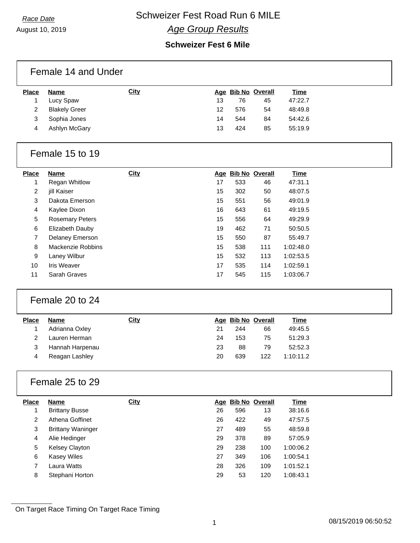August 10, 2019

### **Race Date Schweizer Fest Road Run 6 MILE** *Age Group Results*

#### **Schweizer Fest 6 Mile**

| <b>Place</b>         | <b>Name</b>                       | City        |    |     | Age Bib No Overall       | <b>Time</b>            |
|----------------------|-----------------------------------|-------------|----|-----|--------------------------|------------------------|
| $\mathbf{1}$         | Lucy Spaw                         |             | 13 | 76  | 45                       | 47:22.7                |
| $\overline{c}$       | <b>Blakely Greer</b>              |             | 12 | 576 | 54                       | 48:49.8                |
| 3                    | Sophia Jones                      |             | 14 | 544 | 84                       | 54:42.6                |
| 4                    | Ashlyn McGary                     |             | 13 | 424 | 85                       | 55:19.9                |
|                      | Female 15 to 19                   |             |    |     |                          |                        |
| Place                | <b>Name</b>                       | <b>City</b> |    |     | Age Bib No Overall       | <b>Time</b>            |
| $\mathbf{1}$         | <b>Regan Whitlow</b>              |             | 17 | 533 | 46                       | 47:31.1                |
| 2                    | jill Kaiser                       |             | 15 | 302 | 50                       | 48:07.5                |
| 3                    | Dakota Emerson                    |             | 15 | 551 | 56                       | 49:01.9                |
| 4                    | Kaylee Dixon                      |             | 16 | 643 | 61                       | 49:19.5                |
| $\,$ 5 $\,$          | <b>Rosemary Peters</b>            |             | 15 | 556 | 64                       | 49:29.9                |
| $\,6\,$              | Elizabeth Dauby                   |             | 19 | 462 | 71                       | 50:50.5                |
| $\overline{7}$       | Delaney Emerson                   |             | 15 | 550 | 87                       | 55:49.7                |
| 8                    | Mackenzie Robbins                 |             | 15 | 538 | 111                      | 1:02:48.0              |
| 9                    | Laney Wilbur                      |             | 15 | 532 | 113                      | 1:02:53.5              |
|                      | <b>Iris Weaver</b>                |             |    |     |                          |                        |
| 10                   |                                   |             | 17 | 535 | 114                      | 1:02:59.1              |
| 11                   | Sarah Graves                      |             | 17 | 545 | 115                      | 1:03:06.7              |
|                      | Female 20 to 24                   |             |    |     |                          |                        |
|                      |                                   | <b>City</b> |    |     |                          |                        |
| Place<br>$\mathbf 1$ | <b>Name</b><br>Adrianna Oxley     |             | 21 | 244 | Age Bib No Overall<br>66 | <b>Time</b><br>49:45.5 |
| $\overline{c}$       | Lauren Herman                     |             | 24 | 153 | 75                       | 51:29.3                |
| 3                    |                                   |             | 23 | 88  | 79                       | 52:52.3                |
| 4                    | Hannah Harpenau<br>Reagan Lashley |             | 20 | 639 | 122                      | 1:10:11.2              |
|                      | Female 25 to 29                   |             |    |     |                          |                        |
| <b>Place</b>         | <b>Name</b>                       | City        |    |     | Age Bib No Overall       | <b>Time</b>            |
| 1                    | <b>Brittany Busse</b>             |             | 26 | 596 | 13                       | 38:16.6                |
| $\overline{2}$       | Athena Goffinet                   |             | 26 | 422 | 49                       | 47:57.5                |
| 3                    | <b>Brittany Waninger</b>          |             | 27 | 489 | 55                       | 48:59.8                |
| 4                    | Alie Hedinger                     |             | 29 | 378 | 89                       | 57:05.9                |
| 5                    | Kelsey Clayton                    |             | 29 | 238 | 100                      | 1:00:06.2              |
| 6                    | <b>Kasey Wiles</b>                |             | 27 | 349 | 106                      | 1:00:54.1              |
| $\overline{7}$       | Laura Watts                       |             | 28 | 326 | 109                      | 1:01:52.1              |

On Target Race Timing On Target Race Timing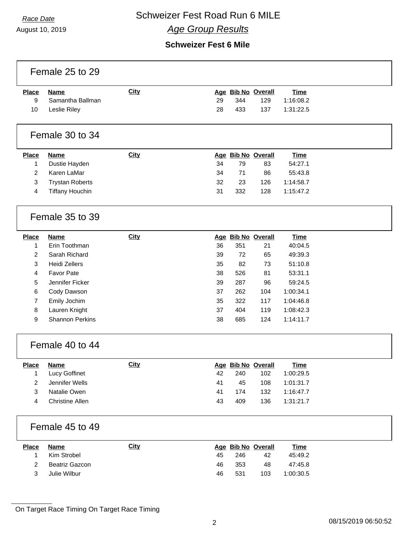August 10, 2019

## **Race Date Schweizer Fest Road Run 6 MILE**

### *Age Group Results*

#### **Schweizer Fest 6 Mile**

| <b>City</b><br>Age Bib No Overall<br><b>Time</b><br><b>Place</b><br><b>Name</b><br>Samantha Ballman<br>344<br>9<br>29<br>129<br>1:16:08.2<br>10<br>Leslie Riley<br>28<br>433<br>137<br>1:31:22.5<br>Female 30 to 34<br><b>City</b><br>Age Bib No Overall<br><b>Place</b><br><b>Name</b><br><b>Time</b><br>Dustie Hayden<br>34<br>79<br>83<br>54:27.1<br>1<br>Karen LaMar<br>2<br>34<br>71<br>86<br>55:43.8<br>3<br><b>Trystan Roberts</b><br>32<br>126<br>1:14:58.7<br>23<br><b>Tiffany Houchin</b><br>31<br>332<br>128<br>1:15:47.2<br>4<br>Female 35 to 39<br><b>City</b><br>Age Bib No Overall<br><b>Place</b><br><b>Name</b><br><b>Time</b><br>Erin Toothman<br>36<br>351<br>21<br>40:04.5<br>1<br>Sarah Richard<br>2<br>39<br>72<br>65<br>49:39.3<br>3<br><b>Heidi Zellers</b><br>35<br>82<br>73<br>51:10.8<br><b>Favor Pate</b><br>4<br>38<br>526<br>81<br>53:31.1<br>5<br>Jennifer Ficker<br>39<br>287<br>96<br>59:24.5<br>6<br>Cody Dawson<br>37<br>262<br>104<br>1:00:34.1<br>322<br>7<br>Emily Jochim<br>35<br>117<br>1:04:46.8<br>404<br>1:08:42.3<br>8<br>Lauren Knight<br>37<br>119<br>9<br><b>Shannon Perkins</b><br>38<br>685<br>124<br>1:14:11.7<br>Female 40 to 44<br>City<br><b>Place</b><br>Age Bib No Overall<br><b>Name</b><br><u>Time</u><br>Lucy Goffinet<br>42<br>102<br>1:00:29.5<br>240<br>1<br>$\overline{\mathbf{c}}$<br>Jennifer Wells<br>41<br>1:01:31.7<br>45<br>108<br>3<br>Natalie Owen<br>41<br>174<br>132<br>1:16:47.7<br><b>Christine Allen</b><br>4<br>43<br>409<br>136<br>1:31:21.7<br>Female 45 to 49<br><b>City</b><br><b>Name</b><br>Age Bib No Overall<br><b>Time</b><br><b>Place</b><br>Kim Strobel<br>45<br>246<br>42<br>45:49.2<br>1<br>Beatriz Gazcon<br>353<br>48<br>2<br>46<br>47:45.8<br>$\mathbf{3}$<br>Julie Wilbur<br>531<br>46<br>103<br>1:00:30.5 | Female 25 to 29 |  |  |  |
|---------------------------------------------------------------------------------------------------------------------------------------------------------------------------------------------------------------------------------------------------------------------------------------------------------------------------------------------------------------------------------------------------------------------------------------------------------------------------------------------------------------------------------------------------------------------------------------------------------------------------------------------------------------------------------------------------------------------------------------------------------------------------------------------------------------------------------------------------------------------------------------------------------------------------------------------------------------------------------------------------------------------------------------------------------------------------------------------------------------------------------------------------------------------------------------------------------------------------------------------------------------------------------------------------------------------------------------------------------------------------------------------------------------------------------------------------------------------------------------------------------------------------------------------------------------------------------------------------------------------------------------------------------------------------------------------------------------------------------------------------------------------------------------------------------|-----------------|--|--|--|
|                                                                                                                                                                                                                                                                                                                                                                                                                                                                                                                                                                                                                                                                                                                                                                                                                                                                                                                                                                                                                                                                                                                                                                                                                                                                                                                                                                                                                                                                                                                                                                                                                                                                                                                                                                                                         |                 |  |  |  |
|                                                                                                                                                                                                                                                                                                                                                                                                                                                                                                                                                                                                                                                                                                                                                                                                                                                                                                                                                                                                                                                                                                                                                                                                                                                                                                                                                                                                                                                                                                                                                                                                                                                                                                                                                                                                         |                 |  |  |  |
|                                                                                                                                                                                                                                                                                                                                                                                                                                                                                                                                                                                                                                                                                                                                                                                                                                                                                                                                                                                                                                                                                                                                                                                                                                                                                                                                                                                                                                                                                                                                                                                                                                                                                                                                                                                                         |                 |  |  |  |
|                                                                                                                                                                                                                                                                                                                                                                                                                                                                                                                                                                                                                                                                                                                                                                                                                                                                                                                                                                                                                                                                                                                                                                                                                                                                                                                                                                                                                                                                                                                                                                                                                                                                                                                                                                                                         |                 |  |  |  |
|                                                                                                                                                                                                                                                                                                                                                                                                                                                                                                                                                                                                                                                                                                                                                                                                                                                                                                                                                                                                                                                                                                                                                                                                                                                                                                                                                                                                                                                                                                                                                                                                                                                                                                                                                                                                         |                 |  |  |  |
|                                                                                                                                                                                                                                                                                                                                                                                                                                                                                                                                                                                                                                                                                                                                                                                                                                                                                                                                                                                                                                                                                                                                                                                                                                                                                                                                                                                                                                                                                                                                                                                                                                                                                                                                                                                                         |                 |  |  |  |
|                                                                                                                                                                                                                                                                                                                                                                                                                                                                                                                                                                                                                                                                                                                                                                                                                                                                                                                                                                                                                                                                                                                                                                                                                                                                                                                                                                                                                                                                                                                                                                                                                                                                                                                                                                                                         |                 |  |  |  |
|                                                                                                                                                                                                                                                                                                                                                                                                                                                                                                                                                                                                                                                                                                                                                                                                                                                                                                                                                                                                                                                                                                                                                                                                                                                                                                                                                                                                                                                                                                                                                                                                                                                                                                                                                                                                         |                 |  |  |  |
|                                                                                                                                                                                                                                                                                                                                                                                                                                                                                                                                                                                                                                                                                                                                                                                                                                                                                                                                                                                                                                                                                                                                                                                                                                                                                                                                                                                                                                                                                                                                                                                                                                                                                                                                                                                                         |                 |  |  |  |
|                                                                                                                                                                                                                                                                                                                                                                                                                                                                                                                                                                                                                                                                                                                                                                                                                                                                                                                                                                                                                                                                                                                                                                                                                                                                                                                                                                                                                                                                                                                                                                                                                                                                                                                                                                                                         |                 |  |  |  |
|                                                                                                                                                                                                                                                                                                                                                                                                                                                                                                                                                                                                                                                                                                                                                                                                                                                                                                                                                                                                                                                                                                                                                                                                                                                                                                                                                                                                                                                                                                                                                                                                                                                                                                                                                                                                         |                 |  |  |  |
|                                                                                                                                                                                                                                                                                                                                                                                                                                                                                                                                                                                                                                                                                                                                                                                                                                                                                                                                                                                                                                                                                                                                                                                                                                                                                                                                                                                                                                                                                                                                                                                                                                                                                                                                                                                                         |                 |  |  |  |
|                                                                                                                                                                                                                                                                                                                                                                                                                                                                                                                                                                                                                                                                                                                                                                                                                                                                                                                                                                                                                                                                                                                                                                                                                                                                                                                                                                                                                                                                                                                                                                                                                                                                                                                                                                                                         |                 |  |  |  |
|                                                                                                                                                                                                                                                                                                                                                                                                                                                                                                                                                                                                                                                                                                                                                                                                                                                                                                                                                                                                                                                                                                                                                                                                                                                                                                                                                                                                                                                                                                                                                                                                                                                                                                                                                                                                         |                 |  |  |  |
|                                                                                                                                                                                                                                                                                                                                                                                                                                                                                                                                                                                                                                                                                                                                                                                                                                                                                                                                                                                                                                                                                                                                                                                                                                                                                                                                                                                                                                                                                                                                                                                                                                                                                                                                                                                                         |                 |  |  |  |
|                                                                                                                                                                                                                                                                                                                                                                                                                                                                                                                                                                                                                                                                                                                                                                                                                                                                                                                                                                                                                                                                                                                                                                                                                                                                                                                                                                                                                                                                                                                                                                                                                                                                                                                                                                                                         |                 |  |  |  |
|                                                                                                                                                                                                                                                                                                                                                                                                                                                                                                                                                                                                                                                                                                                                                                                                                                                                                                                                                                                                                                                                                                                                                                                                                                                                                                                                                                                                                                                                                                                                                                                                                                                                                                                                                                                                         |                 |  |  |  |
|                                                                                                                                                                                                                                                                                                                                                                                                                                                                                                                                                                                                                                                                                                                                                                                                                                                                                                                                                                                                                                                                                                                                                                                                                                                                                                                                                                                                                                                                                                                                                                                                                                                                                                                                                                                                         |                 |  |  |  |
|                                                                                                                                                                                                                                                                                                                                                                                                                                                                                                                                                                                                                                                                                                                                                                                                                                                                                                                                                                                                                                                                                                                                                                                                                                                                                                                                                                                                                                                                                                                                                                                                                                                                                                                                                                                                         |                 |  |  |  |
|                                                                                                                                                                                                                                                                                                                                                                                                                                                                                                                                                                                                                                                                                                                                                                                                                                                                                                                                                                                                                                                                                                                                                                                                                                                                                                                                                                                                                                                                                                                                                                                                                                                                                                                                                                                                         |                 |  |  |  |
|                                                                                                                                                                                                                                                                                                                                                                                                                                                                                                                                                                                                                                                                                                                                                                                                                                                                                                                                                                                                                                                                                                                                                                                                                                                                                                                                                                                                                                                                                                                                                                                                                                                                                                                                                                                                         |                 |  |  |  |
|                                                                                                                                                                                                                                                                                                                                                                                                                                                                                                                                                                                                                                                                                                                                                                                                                                                                                                                                                                                                                                                                                                                                                                                                                                                                                                                                                                                                                                                                                                                                                                                                                                                                                                                                                                                                         |                 |  |  |  |
|                                                                                                                                                                                                                                                                                                                                                                                                                                                                                                                                                                                                                                                                                                                                                                                                                                                                                                                                                                                                                                                                                                                                                                                                                                                                                                                                                                                                                                                                                                                                                                                                                                                                                                                                                                                                         |                 |  |  |  |
|                                                                                                                                                                                                                                                                                                                                                                                                                                                                                                                                                                                                                                                                                                                                                                                                                                                                                                                                                                                                                                                                                                                                                                                                                                                                                                                                                                                                                                                                                                                                                                                                                                                                                                                                                                                                         |                 |  |  |  |
|                                                                                                                                                                                                                                                                                                                                                                                                                                                                                                                                                                                                                                                                                                                                                                                                                                                                                                                                                                                                                                                                                                                                                                                                                                                                                                                                                                                                                                                                                                                                                                                                                                                                                                                                                                                                         |                 |  |  |  |
|                                                                                                                                                                                                                                                                                                                                                                                                                                                                                                                                                                                                                                                                                                                                                                                                                                                                                                                                                                                                                                                                                                                                                                                                                                                                                                                                                                                                                                                                                                                                                                                                                                                                                                                                                                                                         |                 |  |  |  |
|                                                                                                                                                                                                                                                                                                                                                                                                                                                                                                                                                                                                                                                                                                                                                                                                                                                                                                                                                                                                                                                                                                                                                                                                                                                                                                                                                                                                                                                                                                                                                                                                                                                                                                                                                                                                         |                 |  |  |  |
|                                                                                                                                                                                                                                                                                                                                                                                                                                                                                                                                                                                                                                                                                                                                                                                                                                                                                                                                                                                                                                                                                                                                                                                                                                                                                                                                                                                                                                                                                                                                                                                                                                                                                                                                                                                                         |                 |  |  |  |
|                                                                                                                                                                                                                                                                                                                                                                                                                                                                                                                                                                                                                                                                                                                                                                                                                                                                                                                                                                                                                                                                                                                                                                                                                                                                                                                                                                                                                                                                                                                                                                                                                                                                                                                                                                                                         |                 |  |  |  |
|                                                                                                                                                                                                                                                                                                                                                                                                                                                                                                                                                                                                                                                                                                                                                                                                                                                                                                                                                                                                                                                                                                                                                                                                                                                                                                                                                                                                                                                                                                                                                                                                                                                                                                                                                                                                         |                 |  |  |  |
|                                                                                                                                                                                                                                                                                                                                                                                                                                                                                                                                                                                                                                                                                                                                                                                                                                                                                                                                                                                                                                                                                                                                                                                                                                                                                                                                                                                                                                                                                                                                                                                                                                                                                                                                                                                                         |                 |  |  |  |

On Target Race Timing On Target Race Timing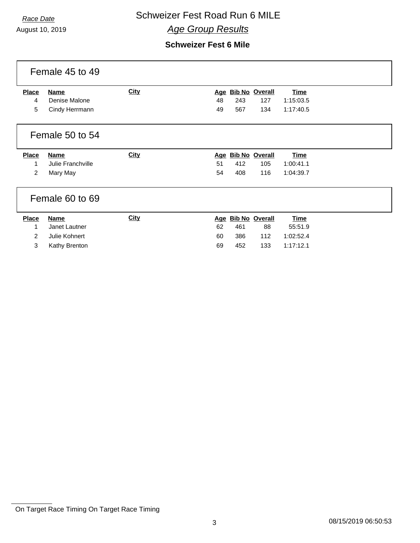August 10, 2019

## **Race Date Schweizer Fest Road Run 6 MILE**

*Age Group Results*

|                                          | Female 45 to 49                                                |             |                |                   |                                        |                                                  |  |
|------------------------------------------|----------------------------------------------------------------|-------------|----------------|-------------------|----------------------------------------|--------------------------------------------------|--|
| <b>Place</b><br>4<br>5                   | <b>Name</b><br>Denise Malone<br>Cindy Herrmann                 | <b>City</b> | 48<br>49       | 243<br>567        | Age Bib No Overall<br>127<br>134       | <b>Time</b><br>1:15:03.5<br>1:17:40.5            |  |
|                                          | Female 50 to 54                                                |             |                |                   |                                        |                                                  |  |
| <b>Place</b><br>1<br>2                   | <b>Name</b><br>Julie Franchville<br>Mary May                   | <b>City</b> | 51<br>54       | 412<br>408        | Age Bib No Overall<br>105<br>116       | <b>Time</b><br>1:00:41.1<br>1:04:39.7            |  |
|                                          | Female 60 to 69                                                |             |                |                   |                                        |                                                  |  |
| <b>Place</b><br>1<br>$\overline{2}$<br>3 | <b>Name</b><br>Janet Lautner<br>Julie Kohnert<br>Kathy Brenton | <b>City</b> | 62<br>60<br>69 | 461<br>386<br>452 | Age Bib No Overall<br>88<br>112<br>133 | <b>Time</b><br>55:51.9<br>1:02:52.4<br>1:17:12.1 |  |

On Target Race Timing On Target Race Timing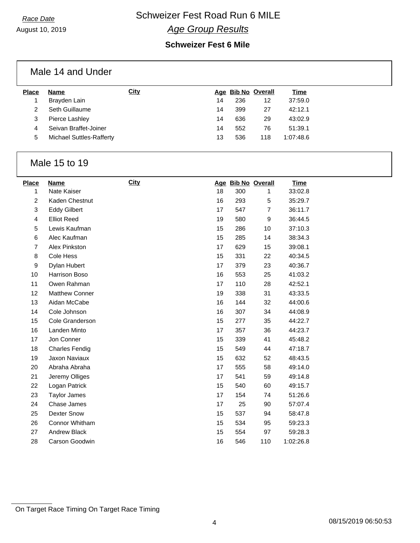August 10, 2019

### **Race Date Schweizer Fest Road Run 6 MILE** *Age Group Results*

#### **Schweizer Fest 6 Mile**

|              | Male 14 and Under               |             |    |     |                    |             |
|--------------|---------------------------------|-------------|----|-----|--------------------|-------------|
| <b>Place</b> | Name                            | <b>City</b> |    |     | Age Bib No Overall | <b>Time</b> |
|              | Brayden Lain                    |             | 14 | 236 | $12 \overline{ }$  | 37:59.0     |
| 2            | Seth Guillaume                  |             | 14 | 399 | 27                 | 42:12.1     |
| 3            | Pierce Lashley                  |             | 14 | 636 | 29                 | 43:02.9     |
| 4            | Seivan Braffet-Joiner           |             | 14 | 552 | 76                 | 51:39.1     |
| 5            | <b>Michael Suttles-Rafferty</b> |             | 13 | 536 | 118                | 1:07:48.6   |

#### Male 15 to 19

| <b>Place</b>   | Name                  | <b>City</b> |    |     | Age Bib No Overall | <u>Time</u> |
|----------------|-----------------------|-------------|----|-----|--------------------|-------------|
| 1              | Nate Kaiser           |             | 18 | 300 | 1                  | 33:02.8     |
| $\overline{a}$ | Kaden Chestnut        |             | 16 | 293 | 5                  | 35:29.7     |
| 3              | <b>Eddy Gilbert</b>   |             | 17 | 547 | $\overline{7}$     | 36:11.7     |
| 4              | <b>Elliot Reed</b>    |             | 19 | 580 | 9                  | 36:44.5     |
| 5              | Lewis Kaufman         |             | 15 | 286 | 10                 | 37:10.3     |
| 6              | Alec Kaufman          |             | 15 | 285 | 14                 | 38:34.3     |
| $\overline{7}$ | Alex Pinkston         |             | 17 | 629 | 15                 | 39:08.1     |
| 8              | Cole Hess             |             | 15 | 331 | 22                 | 40:34.5     |
| 9              | Dylan Hubert          |             | 17 | 379 | 23                 | 40:36.7     |
| 10             | Harrison Boso         |             | 16 | 553 | 25                 | 41:03.2     |
| 11             | Owen Rahman           |             | 17 | 110 | 28                 | 42:52.1     |
| 12             | <b>Matthew Conner</b> |             | 19 | 338 | 31                 | 43:33.5     |
| 13             | Aidan McCabe          |             | 16 | 144 | 32                 | 44:00.6     |
| 14             | Cole Johnson          |             | 16 | 307 | 34                 | 44:08.9     |
| 15             | Cole Granderson       |             | 15 | 277 | 35                 | 44:22.7     |
| 16             | Landen Minto          |             | 17 | 357 | 36                 | 44:23.7     |
| 17             | Jon Conner            |             | 15 | 339 | 41                 | 45:48.2     |
| 18             | <b>Charles Fendig</b> |             | 15 | 549 | 44                 | 47:18.7     |
| 19             | Jaxon Naviaux         |             | 15 | 632 | 52                 | 48:43.5     |
| 20             | Abraha Abraha         |             | 17 | 555 | 58                 | 49:14.0     |
| 21             | Jeremy Olliges        |             | 17 | 541 | 59                 | 49:14.8     |
| 22             | Logan Patrick         |             | 15 | 540 | 60                 | 49:15.7     |
| 23             | <b>Taylor James</b>   |             | 17 | 154 | 74                 | 51:26.6     |
| 24             | Chase James           |             | 17 | 25  | 90                 | 57:07.4     |
| 25             | <b>Dexter Snow</b>    |             | 15 | 537 | 94                 | 58:47.8     |
| 26             | Connor Whitham        |             | 15 | 534 | 95                 | 59:23.3     |
| 27             | <b>Andrew Black</b>   |             | 15 | 554 | 97                 | 59:28.3     |
| 28             | Carson Goodwin        |             | 16 | 546 | 110                | 1:02:26.8   |

On Target Race Timing On Target Race Timing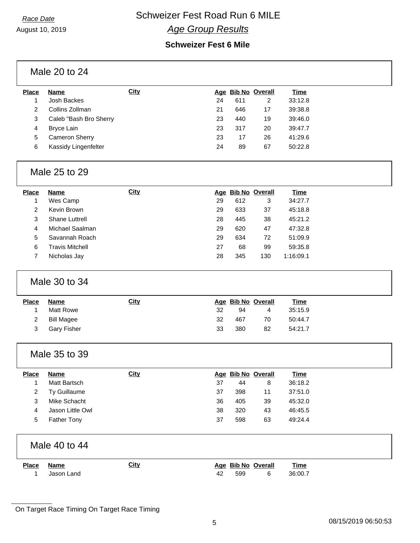### **Race Date Schweizer Fest Road Run 6 MILE** *Age Group Results*

| <b>Place</b>     | <b>Name</b>            | City        |    |     | Age Bib No Overall |  |
|------------------|------------------------|-------------|----|-----|--------------------|--|
| 1                | Josh Backes            |             | 24 | 611 | $\overline{2}$     |  |
| $\overline{c}$   | Collins Zollman        |             | 21 | 646 | 17                 |  |
| 3                | Caleb "Bash Bro Sherry |             | 23 | 440 | 19                 |  |
| 4                | <b>Bryce Lain</b>      |             | 23 | 317 | 20                 |  |
| 5                | Cameron Sherry         |             | 23 | 17  | 26                 |  |
| 6                | Kassidy Lingenfelter   |             | 24 | 89  | 67                 |  |
|                  | Male 25 to 29          |             |    |     |                    |  |
| <b>Place</b>     | <b>Name</b>            | <b>City</b> |    |     | Age Bib No Overall |  |
| 1                | Wes Camp               |             | 29 | 612 | 3                  |  |
| $\overline{2}$   | Kevin Brown            |             | 29 | 633 | 37                 |  |
| 3                | Shane Luttrell         |             | 28 | 445 | 38                 |  |
| 4                | Michael Saalman        |             | 29 | 620 | 47                 |  |
| 5                | Savannah Roach         |             | 29 | 634 | 72                 |  |
| 6                | <b>Travis Mitchell</b> |             | 27 | 68  | 99                 |  |
| $\overline{7}$   | Nicholas Jay           |             | 28 | 345 | 130                |  |
|                  | Male 30 to 34          |             |    |     |                    |  |
| Place            | <b>Name</b>            | <b>City</b> |    |     | Age Bib No Overall |  |
| 1                | <b>Matt Rowe</b>       |             | 32 | 94  | 4                  |  |
| $\overline{c}$   | <b>Bill Magee</b>      |             | 32 | 467 | 70                 |  |
| 3                | <b>Gary Fisher</b>     |             | 33 | 380 | 82                 |  |
|                  | Male 35 to 39          |             |    |     |                    |  |
| <b>Place</b>     | <b>Name</b>            | <b>City</b> |    |     | Age Bib No Overall |  |
| 1                | Matt Bartsch           |             | 37 | 44  | 8                  |  |
| $\boldsymbol{2}$ | Ty Guillaume           |             | 37 | 398 | 11                 |  |
| 3                | Mike Schacht           |             | 36 | 405 | 39                 |  |
| 4                | Jason Little Owl       |             | 38 | 320 | 43                 |  |
| 5                | <b>Father Tony</b>     |             | 37 | 598 | 63                 |  |
|                  | Male 40 to 44          |             |    |     |                    |  |
| <b>Place</b>     | <b>Name</b>            | <b>City</b> |    |     | Age Bib No Overall |  |
| $\mathbf{1}$     | Jason Land             |             | 42 | 599 | 6                  |  |

On Target Race Timing On Target Race Timing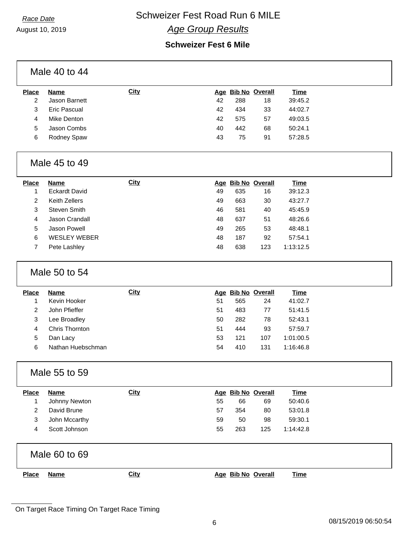August 10, 2019

## **Race Date Schweizer Fest Road Run 6 MILE**

## *Age Group Results*

|                         | Male 40 to 44        |             |    |     |                    |             |
|-------------------------|----------------------|-------------|----|-----|--------------------|-------------|
| <b>Place</b>            | <b>Name</b>          | <b>City</b> |    |     | Age Bib No Overall | <b>Time</b> |
| $\overline{c}$          | Jason Barnett        |             | 42 | 288 | 18                 | 39:45.2     |
| 3                       | <b>Eric Pascual</b>  |             | 42 | 434 | 33                 | 44:02.7     |
| 4                       | Mike Denton          |             | 42 | 575 | 57                 | 49:03.5     |
| 5                       | Jason Combs          |             | 40 | 442 | 68                 | 50:24.1     |
| 6                       | Rodney Spaw          |             | 43 | 75  | 91                 | 57:28.5     |
|                         | Male 45 to 49        |             |    |     |                    |             |
| <b>Place</b>            | <b>Name</b>          | <b>City</b> |    |     | Age Bib No Overall | <b>Time</b> |
| 1                       | <b>Eckardt David</b> |             | 49 | 635 | 16                 | 39:12.3     |
| $\overline{c}$          | <b>Keith Zellers</b> |             | 49 | 663 | 30                 | 43:27.7     |
| 3                       | <b>Steven Smith</b>  |             | 46 | 581 | 40                 | 45:45.9     |
| 4                       | Jason Crandall       |             | 48 | 637 | 51                 | 48:26.6     |
| 5                       | Jason Powell         |             | 49 | 265 | 53                 | 48:48.1     |
| 6                       | <b>WESLEY WEBER</b>  |             | 48 | 187 | 92                 | 57:54.1     |
| $\overline{7}$          | Pete Lashley         |             | 48 | 638 | 123                | 1:13:12.5   |
|                         | Male 50 to 54        |             |    |     |                    |             |
| <b>Place</b>            | <b>Name</b>          | <b>City</b> |    |     | Age Bib No Overall | <b>Time</b> |
| $\mathbf{1}$            | Kevin Hooker         |             | 51 | 565 | 24                 | 41:02.7     |
| $\overline{\mathbf{c}}$ | John Pfieffer        |             | 51 | 483 | 77                 | 51:41.5     |
| 3                       | Lee Broadley         |             | 50 | 282 | 78                 | 52:43.1     |
| 4                       | Chris Thornton       |             | 51 | 444 | 93                 | 57:59.7     |
| 5                       | Dan Lacy             |             | 53 | 121 | 107                | 1:01:00.5   |
| 6                       | Nathan Huebschman    |             | 54 | 410 | 131                | 1:16:46.8   |
|                         | Male 55 to 59        |             |    |     |                    |             |
| <b>Place</b>            | <b>Name</b>          | <b>City</b> |    |     | Age Bib No Overall | <b>Time</b> |
| 1                       | Johnny Newton        |             | 55 | 66  | 69                 | 50:40.6     |
| $\overline{c}$          | David Brune          |             | 57 | 354 | 80                 | 53:01.8     |
| 3                       | John Mccarthy        |             | 59 | 50  | 98                 | 59:30.1     |
| 4                       | Scott Johnson        |             | 55 | 263 | 125                | 1:14:42.8   |
|                         | Male 60 to 69        |             |    |     |                    |             |
| <b>Place</b>            | <b>Name</b>          | <b>City</b> |    |     | Age Bib No Overall | <b>Time</b> |
|                         |                      |             |    |     |                    |             |

On Target Race Timing On Target Race Timing